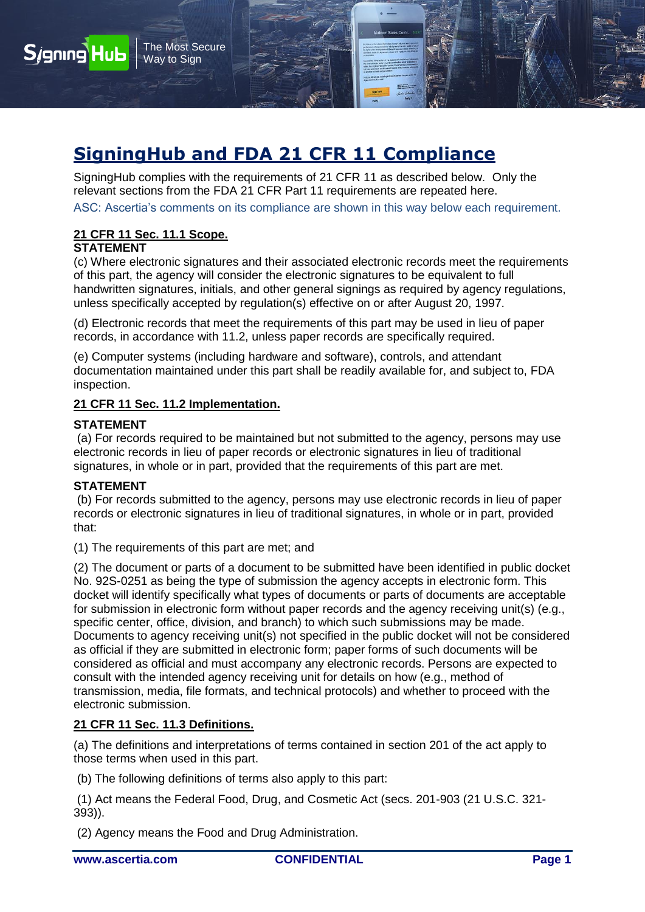

SigningHub complies with the requirements of 21 CFR 11 as described below. Only the relevant sections from the FDA 21 CFR Part 11 requirements are repeated here.

ASC: Ascertia's comments on its compliance are shown in this way below each requirement.

# **21 CFR 11 Sec. 11.1 Scope.**

The Most Secure Way to Sign

## **STATEMENT**

**Sjgning Hub** 

(c) Where electronic signatures and their associated electronic records meet the requirements of this part, the agency will consider the electronic signatures to be equivalent to full handwritten signatures, initials, and other general signings as required by agency regulations, unless specifically accepted by regulation(s) effective on or after August 20, 1997.

(d) Electronic records that meet the requirements of this part may be used in lieu of paper records, in accordance with 11.2, unless paper records are specifically required.

(e) Computer systems (including hardware and software), controls, and attendant documentation maintained under this part shall be readily available for, and subject to, FDA inspection.

### **21 CFR 11 Sec. 11.2 Implementation.**

### **STATEMENT**

(a) For records required to be maintained but not submitted to the agency, persons may use electronic records in lieu of paper records or electronic signatures in lieu of traditional signatures, in whole or in part, provided that the requirements of this part are met.

### **STATEMENT**

(b) For records submitted to the agency, persons may use electronic records in lieu of paper records or electronic signatures in lieu of traditional signatures, in whole or in part, provided that:

(1) The requirements of this part are met; and

(2) The document or parts of a document to be submitted have been identified in public docket No. 92S-0251 as being the type of submission the agency accepts in electronic form. This docket will identify specifically what types of documents or parts of documents are acceptable for submission in electronic form without paper records and the agency receiving unit(s) (e.g., specific center, office, division, and branch) to which such submissions may be made. Documents to agency receiving unit(s) not specified in the public docket will not be considered as official if they are submitted in electronic form; paper forms of such documents will be considered as official and must accompany any electronic records. Persons are expected to consult with the intended agency receiving unit for details on how (e.g., method of transmission, media, file formats, and technical protocols) and whether to proceed with the electronic submission.

## **21 CFR 11 Sec. 11.3 Definitions.**

(a) The definitions and interpretations of terms contained in section 201 of the act apply to those terms when used in this part.

(b) The following definitions of terms also apply to this part:

(1) Act means the Federal Food, Drug, and Cosmetic Act (secs. 201-903 (21 U.S.C. 321- 393)).

(2) Agency means the Food and Drug Administration.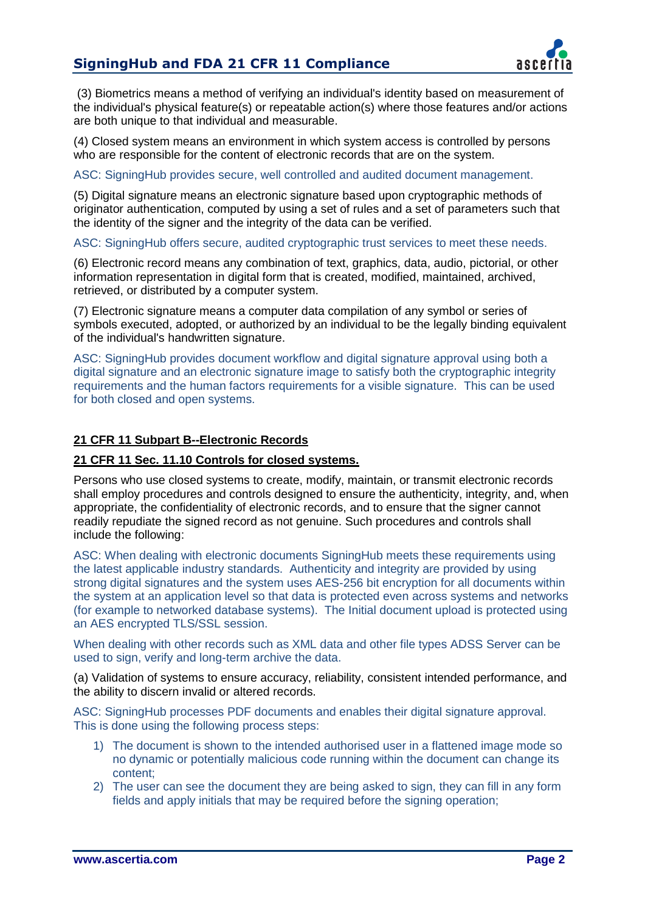

(3) Biometrics means a method of verifying an individual's identity based on measurement of the individual's physical feature(s) or repeatable action(s) where those features and/or actions are both unique to that individual and measurable.

(4) Closed system means an environment in which system access is controlled by persons who are responsible for the content of electronic records that are on the system.

ASC: SigningHub provides secure, well controlled and audited document management.

(5) Digital signature means an electronic signature based upon cryptographic methods of originator authentication, computed by using a set of rules and a set of parameters such that the identity of the signer and the integrity of the data can be verified.

ASC: SigningHub offers secure, audited cryptographic trust services to meet these needs.

(6) Electronic record means any combination of text, graphics, data, audio, pictorial, or other information representation in digital form that is created, modified, maintained, archived, retrieved, or distributed by a computer system.

(7) Electronic signature means a computer data compilation of any symbol or series of symbols executed, adopted, or authorized by an individual to be the legally binding equivalent of the individual's handwritten signature.

ASC: SigningHub provides document workflow and digital signature approval using both a digital signature and an electronic signature image to satisfy both the cryptographic integrity requirements and the human factors requirements for a visible signature. This can be used for both closed and open systems.

## **21 CFR 11 Subpart B--Electronic Records**

## **21 CFR 11 Sec. 11.10 Controls for closed systems.**

Persons who use closed systems to create, modify, maintain, or transmit electronic records shall employ procedures and controls designed to ensure the authenticity, integrity, and, when appropriate, the confidentiality of electronic records, and to ensure that the signer cannot readily repudiate the signed record as not genuine. Such procedures and controls shall include the following:

ASC: When dealing with electronic documents SigningHub meets these requirements using the latest applicable industry standards. Authenticity and integrity are provided by using strong digital signatures and the system uses AES-256 bit encryption for all documents within the system at an application level so that data is protected even across systems and networks (for example to networked database systems). The Initial document upload is protected using an AES encrypted TLS/SSL session.

When dealing with other records such as XML data and other file types ADSS Server can be used to sign, verify and long-term archive the data.

(a) Validation of systems to ensure accuracy, reliability, consistent intended performance, and the ability to discern invalid or altered records.

ASC: SigningHub processes PDF documents and enables their digital signature approval. This is done using the following process steps:

- 1) The document is shown to the intended authorised user in a flattened image mode so no dynamic or potentially malicious code running within the document can change its content;
- 2) The user can see the document they are being asked to sign, they can fill in any form fields and apply initials that may be required before the signing operation;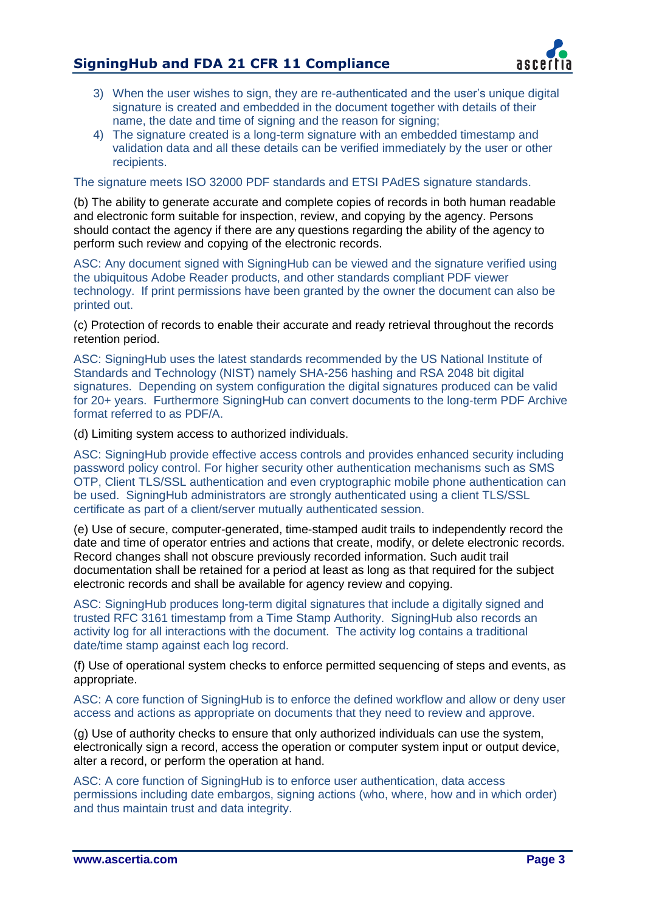

- 3) When the user wishes to sign, they are re-authenticated and the user's unique digital signature is created and embedded in the document together with details of their name, the date and time of signing and the reason for signing;
- 4) The signature created is a long-term signature with an embedded timestamp and validation data and all these details can be verified immediately by the user or other recipients.

The signature meets ISO 32000 PDF standards and ETSI PAdES signature standards.

(b) The ability to generate accurate and complete copies of records in both human readable and electronic form suitable for inspection, review, and copying by the agency. Persons should contact the agency if there are any questions regarding the ability of the agency to perform such review and copying of the electronic records.

ASC: Any document signed with SigningHub can be viewed and the signature verified using the ubiquitous Adobe Reader products, and other standards compliant PDF viewer technology. If print permissions have been granted by the owner the document can also be printed out.

(c) Protection of records to enable their accurate and ready retrieval throughout the records retention period.

ASC: SigningHub uses the latest standards recommended by the US National Institute of Standards and Technology (NIST) namely SHA-256 hashing and RSA 2048 bit digital signatures. Depending on system configuration the digital signatures produced can be valid for 20+ years. Furthermore SigningHub can convert documents to the long-term PDF Archive format referred to as PDF/A.

(d) Limiting system access to authorized individuals.

ASC: SigningHub provide effective access controls and provides enhanced security including password policy control. For higher security other authentication mechanisms such as SMS OTP, Client TLS/SSL authentication and even cryptographic mobile phone authentication can be used. SigningHub administrators are strongly authenticated using a client TLS/SSL certificate as part of a client/server mutually authenticated session.

(e) Use of secure, computer-generated, time-stamped audit trails to independently record the date and time of operator entries and actions that create, modify, or delete electronic records. Record changes shall not obscure previously recorded information. Such audit trail documentation shall be retained for a period at least as long as that required for the subject electronic records and shall be available for agency review and copying.

ASC: SigningHub produces long-term digital signatures that include a digitally signed and trusted RFC 3161 timestamp from a Time Stamp Authority. SigningHub also records an activity log for all interactions with the document. The activity log contains a traditional date/time stamp against each log record.

(f) Use of operational system checks to enforce permitted sequencing of steps and events, as appropriate.

ASC: A core function of SigningHub is to enforce the defined workflow and allow or deny user access and actions as appropriate on documents that they need to review and approve.

(g) Use of authority checks to ensure that only authorized individuals can use the system, electronically sign a record, access the operation or computer system input or output device, alter a record, or perform the operation at hand.

ASC: A core function of SigningHub is to enforce user authentication, data access permissions including date embargos, signing actions (who, where, how and in which order) and thus maintain trust and data integrity.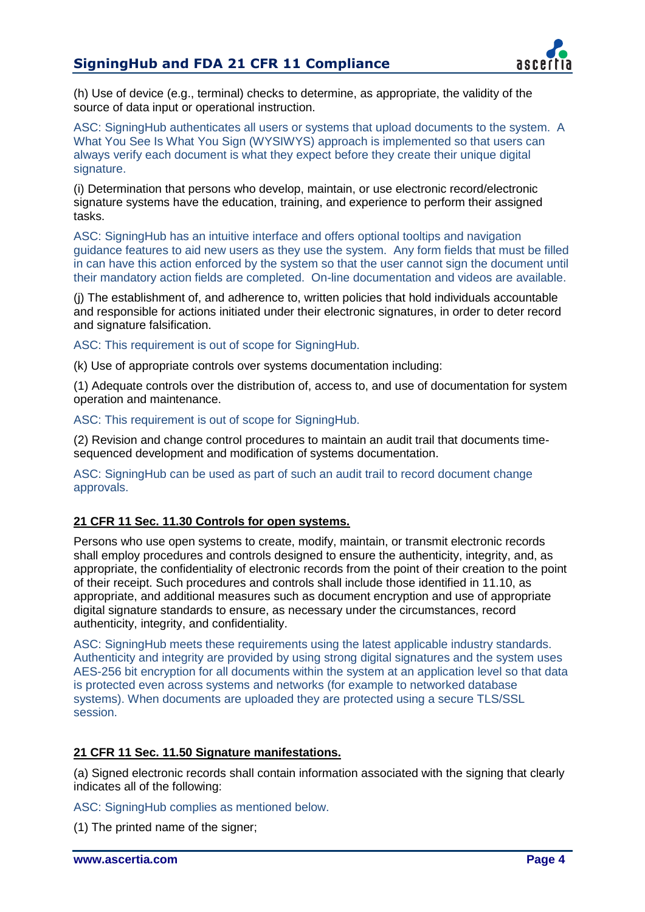

(h) Use of device (e.g., terminal) checks to determine, as appropriate, the validity of the source of data input or operational instruction.

ASC: SigningHub authenticates all users or systems that upload documents to the system. A What You See Is What You Sign (WYSIWYS) approach is implemented so that users can always verify each document is what they expect before they create their unique digital signature.

(i) Determination that persons who develop, maintain, or use electronic record/electronic signature systems have the education, training, and experience to perform their assigned tasks.

ASC: SigningHub has an intuitive interface and offers optional tooltips and navigation guidance features to aid new users as they use the system. Any form fields that must be filled in can have this action enforced by the system so that the user cannot sign the document until their mandatory action fields are completed. On-line documentation and videos are available.

(j) The establishment of, and adherence to, written policies that hold individuals accountable and responsible for actions initiated under their electronic signatures, in order to deter record and signature falsification.

ASC: This requirement is out of scope for SigningHub.

(k) Use of appropriate controls over systems documentation including:

(1) Adequate controls over the distribution of, access to, and use of documentation for system operation and maintenance.

ASC: This requirement is out of scope for SigningHub.

(2) Revision and change control procedures to maintain an audit trail that documents timesequenced development and modification of systems documentation.

ASC: SigningHub can be used as part of such an audit trail to record document change approvals.

### **21 CFR 11 Sec. 11.30 Controls for open systems.**

Persons who use open systems to create, modify, maintain, or transmit electronic records shall employ procedures and controls designed to ensure the authenticity, integrity, and, as appropriate, the confidentiality of electronic records from the point of their creation to the point of their receipt. Such procedures and controls shall include those identified in 11.10, as appropriate, and additional measures such as document encryption and use of appropriate digital signature standards to ensure, as necessary under the circumstances, record authenticity, integrity, and confidentiality.

ASC: SigningHub meets these requirements using the latest applicable industry standards. Authenticity and integrity are provided by using strong digital signatures and the system uses AES-256 bit encryption for all documents within the system at an application level so that data is protected even across systems and networks (for example to networked database systems). When documents are uploaded they are protected using a secure TLS/SSL session.

### **21 CFR 11 Sec. 11.50 Signature manifestations.**

(a) Signed electronic records shall contain information associated with the signing that clearly indicates all of the following:

ASC: SigningHub complies as mentioned below.

(1) The printed name of the signer;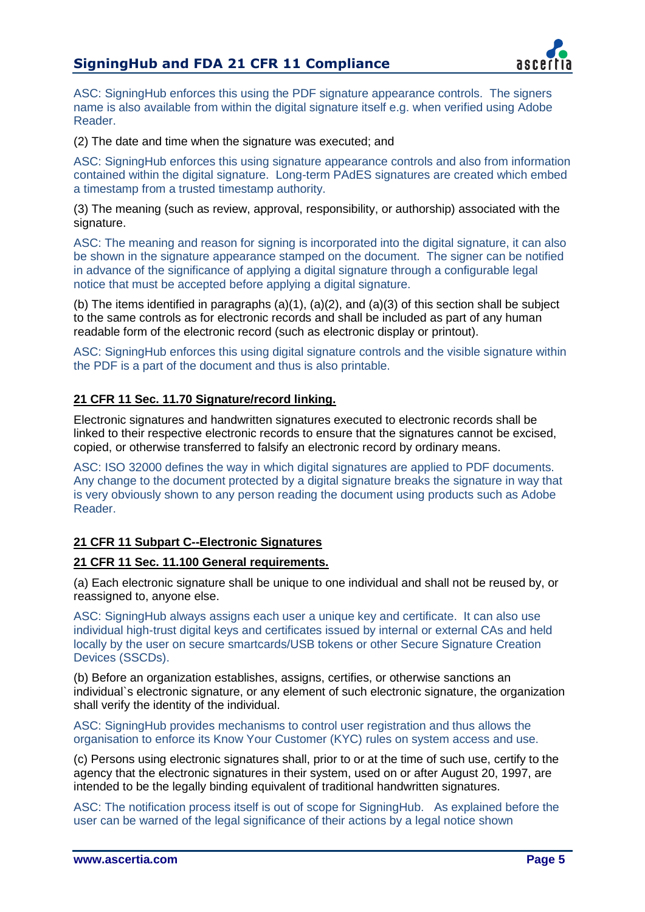# **SigningHub and FDA 21 CFR 11 Compliance**



ASC: SigningHub enforces this using the PDF signature appearance controls. The signers name is also available from within the digital signature itself e.g. when verified using Adobe Reader.

(2) The date and time when the signature was executed; and

ASC: SigningHub enforces this using signature appearance controls and also from information contained within the digital signature. Long-term PAdES signatures are created which embed a timestamp from a trusted timestamp authority.

(3) The meaning (such as review, approval, responsibility, or authorship) associated with the signature.

ASC: The meaning and reason for signing is incorporated into the digital signature, it can also be shown in the signature appearance stamped on the document. The signer can be notified in advance of the significance of applying a digital signature through a configurable legal notice that must be accepted before applying a digital signature.

(b) The items identified in paragraphs (a)(1), (a)(2), and (a)(3) of this section shall be subject to the same controls as for electronic records and shall be included as part of any human readable form of the electronic record (such as electronic display or printout).

ASC: SigningHub enforces this using digital signature controls and the visible signature within the PDF is a part of the document and thus is also printable.

# **21 CFR 11 Sec. 11.70 Signature/record linking.**

Electronic signatures and handwritten signatures executed to electronic records shall be linked to their respective electronic records to ensure that the signatures cannot be excised, copied, or otherwise transferred to falsify an electronic record by ordinary means.

ASC: ISO 32000 defines the way in which digital signatures are applied to PDF documents. Any change to the document protected by a digital signature breaks the signature in way that is very obviously shown to any person reading the document using products such as Adobe Reader.

## **21 CFR 11 Subpart C--Electronic Signatures**

### **21 CFR 11 Sec. 11.100 General requirements.**

(a) Each electronic signature shall be unique to one individual and shall not be reused by, or reassigned to, anyone else.

ASC: SigningHub always assigns each user a unique key and certificate. It can also use individual high-trust digital keys and certificates issued by internal or external CAs and held locally by the user on secure smartcards/USB tokens or other Secure Signature Creation Devices (SSCDs).

(b) Before an organization establishes, assigns, certifies, or otherwise sanctions an individual`s electronic signature, or any element of such electronic signature, the organization shall verify the identity of the individual.

ASC: SigningHub provides mechanisms to control user registration and thus allows the organisation to enforce its Know Your Customer (KYC) rules on system access and use.

(c) Persons using electronic signatures shall, prior to or at the time of such use, certify to the agency that the electronic signatures in their system, used on or after August 20, 1997, are intended to be the legally binding equivalent of traditional handwritten signatures.

ASC: The notification process itself is out of scope for SigningHub. As explained before the user can be warned of the legal significance of their actions by a legal notice shown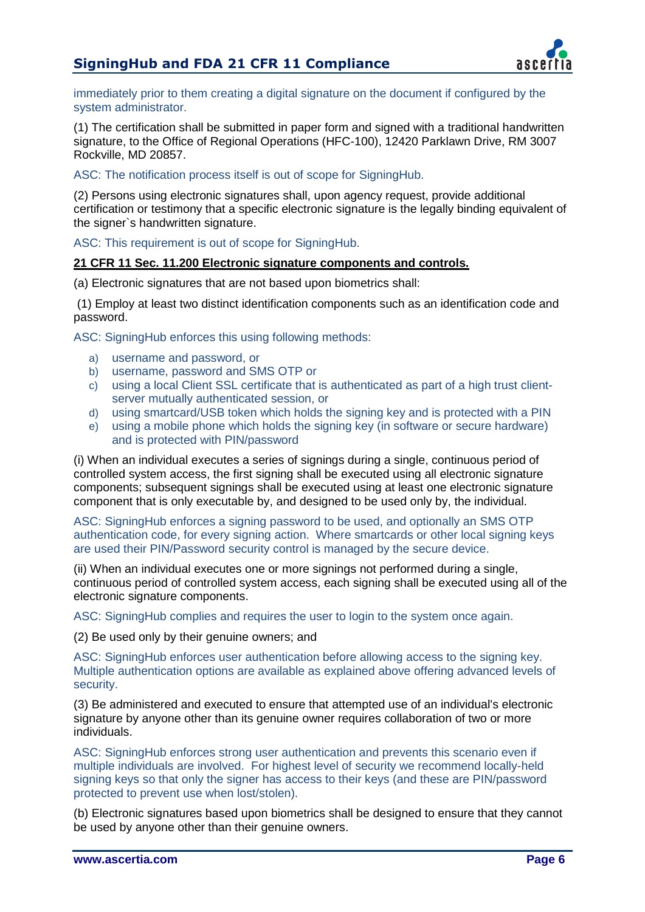# **SigningHub and FDA 21 CFR 11 Compliance**



immediately prior to them creating a digital signature on the document if configured by the system administrator.

(1) The certification shall be submitted in paper form and signed with a traditional handwritten signature, to the Office of Regional Operations (HFC-100), 12420 Parklawn Drive, RM 3007 Rockville, MD 20857.

ASC: The notification process itself is out of scope for SigningHub.

(2) Persons using electronic signatures shall, upon agency request, provide additional certification or testimony that a specific electronic signature is the legally binding equivalent of the signer`s handwritten signature.

ASC: This requirement is out of scope for SigningHub.

#### **21 CFR 11 Sec. 11.200 Electronic signature components and controls.**

(a) Electronic signatures that are not based upon biometrics shall:

(1) Employ at least two distinct identification components such as an identification code and password.

ASC: SigningHub enforces this using following methods:

- a) username and password, or
- b) username, password and SMS OTP or
- c) using a local Client SSL certificate that is authenticated as part of a high trust clientserver mutually authenticated session, or
- d) using smartcard/USB token which holds the signing key and is protected with a PIN
- e) using a mobile phone which holds the signing key (in software or secure hardware) and is protected with PIN/password

(i) When an individual executes a series of signings during a single, continuous period of controlled system access, the first signing shall be executed using all electronic signature components; subsequent signings shall be executed using at least one electronic signature component that is only executable by, and designed to be used only by, the individual.

ASC: SigningHub enforces a signing password to be used, and optionally an SMS OTP authentication code, for every signing action. Where smartcards or other local signing keys are used their PIN/Password security control is managed by the secure device.

(ii) When an individual executes one or more signings not performed during a single, continuous period of controlled system access, each signing shall be executed using all of the electronic signature components.

ASC: SigningHub complies and requires the user to login to the system once again.

(2) Be used only by their genuine owners; and

ASC: SigningHub enforces user authentication before allowing access to the signing key. Multiple authentication options are available as explained above offering advanced levels of security.

(3) Be administered and executed to ensure that attempted use of an individual's electronic signature by anyone other than its genuine owner requires collaboration of two or more individuals.

ASC: SigningHub enforces strong user authentication and prevents this scenario even if multiple individuals are involved. For highest level of security we recommend locally-held signing keys so that only the signer has access to their keys (and these are PIN/password protected to prevent use when lost/stolen).

(b) Electronic signatures based upon biometrics shall be designed to ensure that they cannot be used by anyone other than their genuine owners.